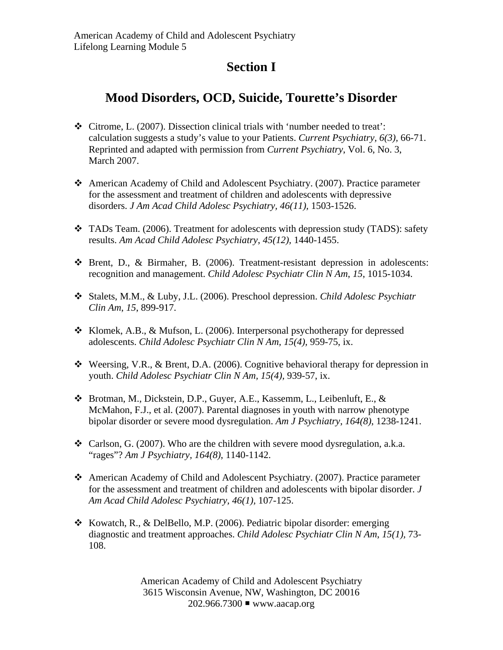## **Section I**

## **Mood Disorders, OCD, Suicide, Tourette's Disorder**

- Citrome, L. (2007). Dissection clinical trials with 'number needed to treat': calculation suggests a study's value to your Patients. *Current Psychiatry, 6(3),* 66-71. Reprinted and adapted with permission from *Current Psychiatry*, Vol. 6, No. 3, March 2007.
- American Academy of Child and Adolescent Psychiatry. (2007). Practice parameter for the assessment and treatment of children and adolescents with depressive disorders. *J Am Acad Child Adolesc Psychiatry, 46(11),* 1503-1526.
- TADs Team. (2006). Treatment for adolescents with depression study (TADS): safety results. *Am Acad Child Adolesc Psychiatry*, *45(12),* 1440-1455.
- Brent, D., & Birmaher, B. (2006). Treatment-resistant depression in adolescents: recognition and management. *Child Adolesc Psychiatr Clin N Am*, *15*, 1015-1034.
- Stalets, M.M., & Luby, J.L. (2006). Preschool depression. *Child Adolesc Psychiatr Clin Am*, *15*, 899-917.
- Klomek, A.B., & Mufson, L. (2006). Interpersonal psychotherapy for depressed adolescents. *Child Adolesc Psychiatr Clin N Am, 15(4),* 959-75, ix.
- $\cdot$  Weersing, V.R., & Brent, D.A. (2006). Cognitive behavioral therapy for depression in youth. *Child Adolesc Psychiatr Clin N Am, 15(4),* 939-57, ix.
- Brotman, M., Dickstein, D.P., Guyer, A.E., Kassemm, L., Leibenluft, E., & McMahon, F.J., et al. (2007). Parental diagnoses in youth with narrow phenotype bipolar disorder or severe mood dysregulation. *Am J Psychiatry*, *164(8)*, 1238-1241.
- $\triangleleft$  Carlson, G. (2007). Who are the children with severe mood dysregulation, a.k.a. "rages"? *Am J Psychiatry, 164(8)*, 1140-1142.
- American Academy of Child and Adolescent Psychiatry. (2007). Practice parameter for the assessment and treatment of children and adolescents with bipolar disorder. *J Am Acad Child Adolesc Psychiatry, 46(1),* 107-125.
- $\div$  Kowatch, R., & DelBello, M.P. (2006). Pediatric bipolar disorder: emerging diagnostic and treatment approaches. *Child Adolesc Psychiatr Clin N Am*, *15(1),* 73- 108.

American Academy of Child and Adolescent Psychiatry 3615 Wisconsin Avenue, NW, Washington, DC 20016 202.966.7300 www.aacap.org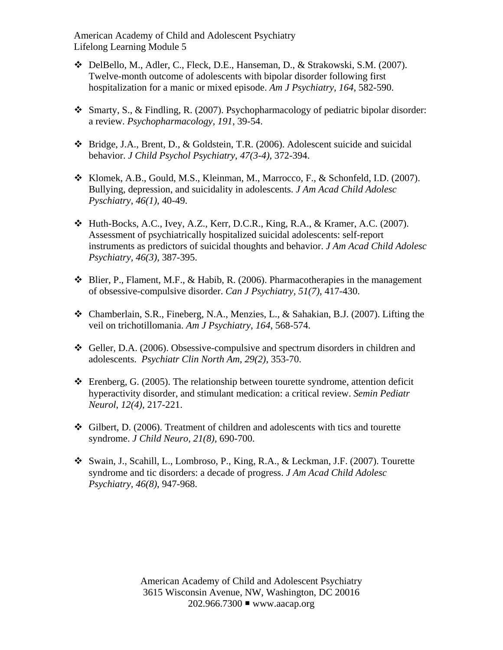American Academy of Child and Adolescent Psychiatry Lifelong Learning Module 5

- DelBello, M., Adler, C., Fleck, D.E., Hanseman, D., & Strakowski, S.M. (2007). Twelve-month outcome of adolescents with bipolar disorder following first hospitalization for a manic or mixed episode. *Am J Psychiatry*, *164*, 582-590.
- Smarty, S., & Findling, R. (2007). Psychopharmacology of pediatric bipolar disorder: a review. *Psychopharmacology, 191*, 39-54.
- Bridge, J.A., Brent, D., & Goldstein, T.R. (2006). Adolescent suicide and suicidal behavior. *J Child Psychol Psychiatry*, *47(3-4),* 372-394.
- Klomek, A.B., Gould, M.S., Kleinman, M., Marrocco, F., & Schonfeld, I.D. (2007). Bullying, depression, and suicidality in adolescents. *J Am Acad Child Adolesc Pyschiatry*, *46(1),* 40-49.
- $\triangleleft$  Huth-Bocks, A.C., Ivey, A.Z., Kerr, D.C.R., King, R.A., & Kramer, A.C. (2007). Assessment of psychiatrically hospitalized suicidal adolescents: self-report instruments as predictors of suicidal thoughts and behavior. *J Am Acad Child Adolesc Psychiatry, 46(3),* 387-395.
- $\triangleleft$  Blier, P., Flament, M.F., & Habib, R. (2006). Pharmacotherapies in the management of obsessive-compulsive disorder. *Can J Psychiatry, 51(7),* 417-430.
- Chamberlain, S.R., Fineberg, N.A., Menzies, L., & Sahakian, B.J. (2007). Lifting the veil on trichotillomania. *Am J Psychiatry*, *164*, 568-574.
- Geller, D.A. (2006). Obsessive-compulsive and spectrum disorders in children and adolescents. *Psychiatr Clin North Am, 29(2),* 353-70.
- $\div$  Erenberg, G. (2005). The relationship between tourette syndrome, attention deficit hyperactivity disorder, and stimulant medication: a critical review. *Semin Pediatr Neurol*, *12(4),* 217-221.
- Gilbert, D. (2006). Treatment of children and adolescents with tics and tourette syndrome. *J Child Neuro, 21(8),* 690-700.
- Swain, J., Scahill, L., Lombroso, P., King, R.A., & Leckman, J.F. (2007). Tourette syndrome and tic disorders: a decade of progress. *J Am Acad Child Adolesc Psychiatry, 46(8)*, 947-968.

American Academy of Child and Adolescent Psychiatry 3615 Wisconsin Avenue, NW, Washington, DC 20016 202.966.7300 www.aacap.org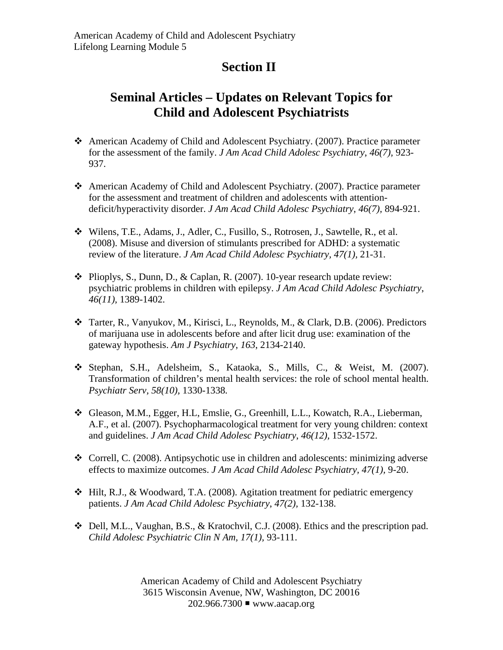## **Section II**

## **Seminal Articles – Updates on Relevant Topics for Child and Adolescent Psychiatrists**

- American Academy of Child and Adolescent Psychiatry. (2007). Practice parameter for the assessment of the family. *J Am Acad Child Adolesc Psychiatry*, *46(7),* 923- 937.
- American Academy of Child and Adolescent Psychiatry. (2007). Practice parameter for the assessment and treatment of children and adolescents with attentiondeficit/hyperactivity disorder. *J Am Acad Child Adolesc Psychiatry*, *46(7),* 894-921.
- Wilens, T.E., Adams, J., Adler, C., Fusillo, S., Rotrosen, J., Sawtelle, R., et al. (2008). Misuse and diversion of stimulants prescribed for ADHD: a systematic review of the literature. *J Am Acad Child Adolesc Psychiatry, 47(1),* 21-31.
- Plioplys, S., Dunn, D., & Caplan, R. (2007). 10-year research update review: psychiatric problems in children with epilepsy. *J Am Acad Child Adolesc Psychiatry*, *46(11),* 1389-1402.
- Tarter, R., Vanyukov, M., Kirisci, L., Reynolds, M., & Clark, D.B. (2006). Predictors of marijuana use in adolescents before and after licit drug use: examination of the gateway hypothesis. *Am J Psychiatry*, *163*, 2134-2140.
- Stephan, S.H., Adelsheim, S., Kataoka, S., Mills, C., & Weist, M. (2007). Transformation of children's mental health services: the role of school mental health. *Psychiatr Serv, 58(10),* 1330-1338*.*
- Gleason, M.M., Egger, H.L, Emslie, G., Greenhill, L.L., Kowatch, R.A., Lieberman, A.F., et al. (2007). Psychopharmacological treatment for very young children: context and guidelines. *J Am Acad Child Adolesc Psychiatry*, *46(12),* 1532-1572.
- $\triangleleft$  Correll, C. (2008). Antipsychotic use in children and adolescents: minimizing adverse effects to maximize outcomes. *J Am Acad Child Adolesc Psychiatry, 47(1),* 9-20.
- $\div$  Hilt, R.J., & Woodward, T.A. (2008). Agitation treatment for pediatric emergency patients. *J Am Acad Child Adolesc Psychiatry*, *47(2),* 132-138.
- Dell, M.L., Vaughan, B.S., & Kratochvil, C.J. (2008). Ethics and the prescription pad. *Child Adolesc Psychiatric Clin N Am, 17(1),* 93-111.

American Academy of Child and Adolescent Psychiatry 3615 Wisconsin Avenue, NW, Washington, DC 20016 202.966.7300 www.aacap.org